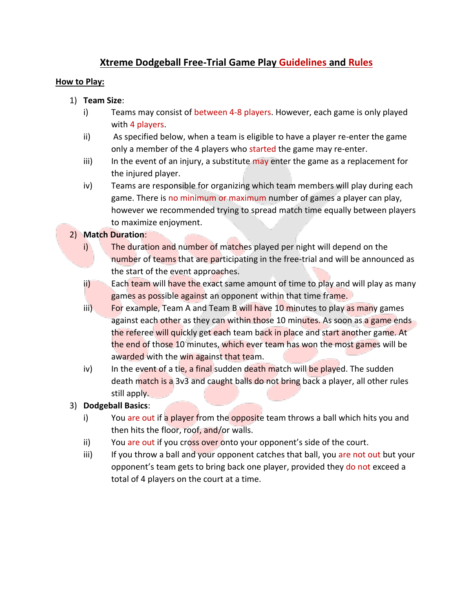## **Xtreme Dodgeball Free-Trial Game Play Guidelines and Rules**

## **How to Play:**

- 1) **Team Size**:
	- i) Teams may consist of between 4-8 players. However, each game is only played with 4 players.
	- ii) As specified below, when a team is eligible to have a player re-enter the game only a member of the 4 players who started the game may re-enter.
	- iii) In the event of an injury, a substitute may enter the game as a replacement for the injured player.
	- iv) Teams are responsible for organizing which team members will play during each game. There is no minimum or maximum number of games a player can play, however we recommended trying to spread match time equally between players to maximize enjoyment.

## 2) **Match Duration**:

- i) The duration and number of matches played per night will depend on the number of teams that are participating in the free-trial and will be announced as the start of the event approaches.
- ii) Each team will have the exact same amount of time to play and will play as many games as possible against an opponent within that time frame.
- iii) For example, Team A and Team B will have 10 minutes to play as many games against each other as they can within those 10 minutes. As soon as a game ends the referee will quickly get each team back in place and start another game. At the end of those 10 minutes, which ever team has won the most games will be awarded with the win against that team.
- iv) In the event of a tie, a final sudden death match will be played. The sudden death match is a 3v3 and caught balls do not bring back a player, all other rules still apply.
- 3) **Dodgeball Basics**:
	- i) You are out if a player from the opposite team throws a ball which hits you and then hits the floor, roof, and/or walls.
	- ii) You are out if you cross over onto your opponent's side of the court.
	- iii) If you throw a ball and your opponent catches that ball, you are not out but your opponent's team gets to bring back one player, provided they do not exceed a total of 4 players on the court at a time.